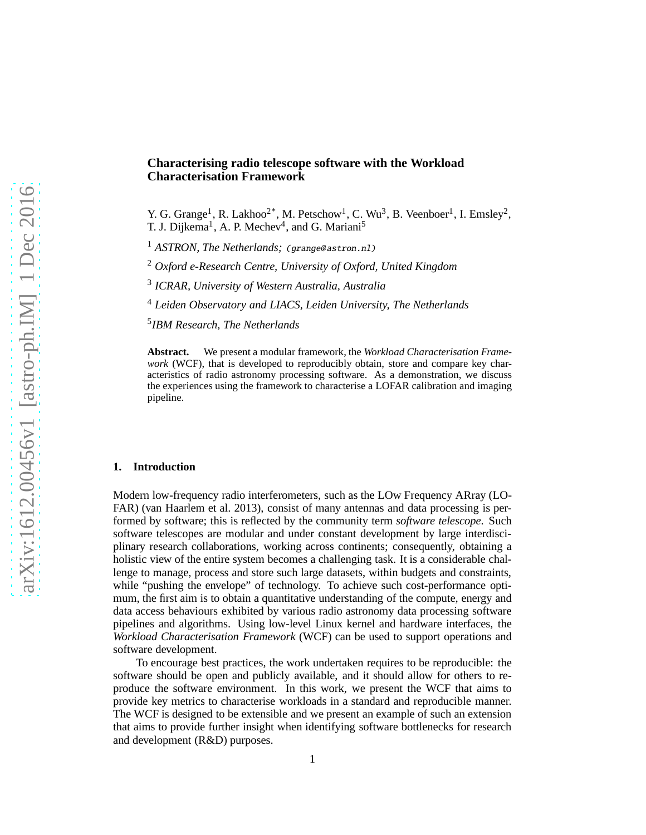# **Characterising radio telescope software with the Workload Characterisation Framework**

Y. G. Grange<sup>1</sup>, R. Lakhoo<sup>2\*</sup>, M. Petschow<sup>1</sup>, C. Wu<sup>3</sup>, B. Veenboer<sup>1</sup>, I. Emsley<sup>2</sup>, T. J. Dijkema<sup>1</sup>, A. P. Mechev<sup>4</sup>, and G. Mariani<sup>5</sup>

<sup>1</sup> *ASTRON, The Netherlands; (grange@astron.nl)* 

<sup>2</sup> *Oxford e-Research Centre, University of Oxford, United Kingdom*

3 *ICRAR, University of Western Australia, Australia*

<sup>4</sup> *Leiden Observatory and LIACS, Leiden University, The Netherlands*

5 *IBM Research, The Netherlands*

**Abstract.** We present a modular framework, the *Workload Characterisation Framework* (WCF), that is developed to reproducibly obtain, store and compare key characteristics of radio astronomy processing software. As a demonstration, we discuss the experiences using the framework to characterise a LOFAR calibration and imaging pipeline.

#### **1. Introduction**

Modern low-frequency radio interferometers, such as the LOw Frequency ARray (LO-FAR) (van Haarlem et al. 2013), consist of many antennas and data processing is performed by software; this is reflected by the community term *software telescope*. Such software telescopes are modular and under constant development by large interdisciplinary research collaborations, working across continents; consequently, obtaining a holistic view of the entire system becomes a challenging task. It is a considerable challenge to manage, process and store such large datasets, within budgets and constraints, while "pushing the envelope" of technology. To achieve such cost-performance optimum, the first aim is to obtain a quantitative understanding of the compute, energy and data access behaviours exhibited by various radio astronomy data processing software pipelines and algorithms. Using low-level Linux kernel and hardware interfaces, the *Workload Characterisation Framework* (WCF) can be used to support operations and software development.

To encourage best practices, the work undertaken requires to be reproducible: the software should be open and publicly available, and it should allow for others to reproduce the software environment. In this work, we present the WCF that aims to provide key metrics to characterise workloads in a standard and reproducible manner. The WCF is designed to be extensible and we present an example of such an extension that aims to provide further insight when identifying software bottlenecks for research and development (R&D) purposes.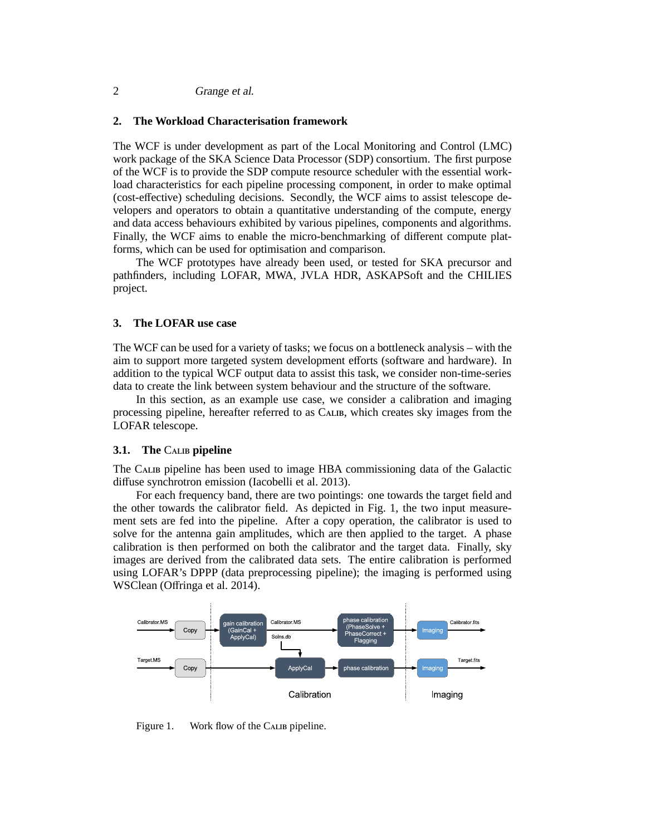# 2 Grange et al.

# **2. The Workload Characterisation framework**

The WCF is under development as part of the Local Monitoring and Control (LMC) work package of the SKA Science Data Processor (SDP) consortium. The first purpose of the WCF is to provide the SDP compute resource scheduler with the essential workload characteristics for each pipeline processing component, in order to make optimal (cost-effective) scheduling decisions. Secondly, the WCF aims to assist telescope developers and operators to obtain a quantitative understanding of the compute, energy and data access behaviours exhibited by various pipelines, components and algorithms. Finally, the WCF aims to enable the micro-benchmarking of different compute platforms, which can be used for optimisation and comparison.

The WCF prototypes have already been used, or tested for SKA precursor and pathfinders, including LOFAR, MWA, JVLA HDR, ASKAPSoft and the CHILIES project.

### **3. The LOFAR use case**

The WCF can be used for a variety of tasks; we focus on a bottleneck analysis – with the aim to support more targeted system development efforts (software and hardware). In addition to the typical WCF output data to assist this task, we consider non-time-series data to create the link between system behaviour and the structure of the software.

In this section, as an example use case, we consider a calibration and imaging processing pipeline, hereafter referred to as Calib, which creates sky images from the LOFAR telescope.

#### **3.1.** The CALIB pipeline

The Calib pipeline has been used to image HBA commissioning data of the Galactic diffuse synchrotron emission (Iacobelli et al. 2013).

For each frequency band, there are two pointings: one towards the target field and the other towards the calibrator field. As depicted in Fig. 1, the two input measurement sets are fed into the pipeline. After a copy operation, the calibrator is used to solve for the antenna gain amplitudes, which are then applied to the target. A phase calibration is then performed on both the calibrator and the target data. Finally, sky images are derived from the calibrated data sets. The entire calibration is performed using LOFAR's DPPP (data preprocessing pipeline); the imaging is performed using WSClean (Offringa et al. 2014).



Figure 1. Work flow of the CALIB pipeline.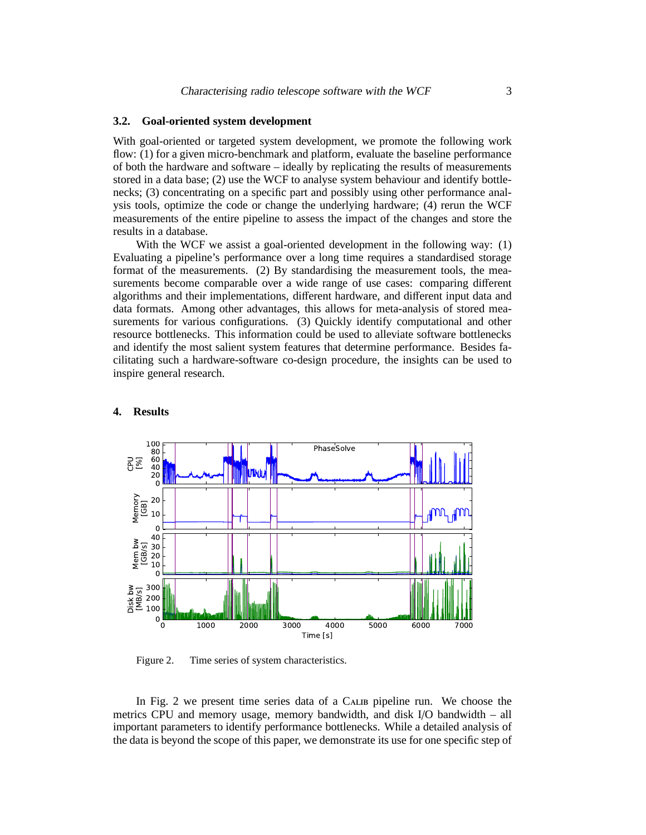# **3.2. Goal-oriented system development**

With goal-oriented or targeted system development, we promote the following work flow: (1) for a given micro-benchmark and platform, evaluate the baseline performance of both the hardware and software – ideally by replicating the results of measurements stored in a data base; (2) use the WCF to analyse system behaviour and identify bottlenecks; (3) concentrating on a specific part and possibly using other performance analysis tools, optimize the code or change the underlying hardware; (4) rerun the WCF measurements of the entire pipeline to assess the impact of the changes and store the results in a database.

With the WCF we assist a goal-oriented development in the following way: (1) Evaluating a pipeline's performance over a long time requires a standardised storage format of the measurements. (2) By standardising the measurement tools, the measurements become comparable over a wide range of use cases: comparing different algorithms and their implementations, different hardware, and different input data and data formats. Among other advantages, this allows for meta-analysis of stored measurements for various configurations. (3) Quickly identify computational and other resource bottlenecks. This information could be used to alleviate software bottlenecks and identify the most salient system features that determine performance. Besides facilitating such a hardware-software co-design procedure, the insights can be used to inspire general research.



### **4. Results**

Figure 2. Time series of system characteristics.

In Fig. 2 we present time series data of a CALIB pipeline run. We choose the metrics CPU and memory usage, memory bandwidth, and disk I/O bandwidth – all important parameters to identify performance bottlenecks. While a detailed analysis of the data is beyond the scope of this paper, we demonstrate its use for one specific step of